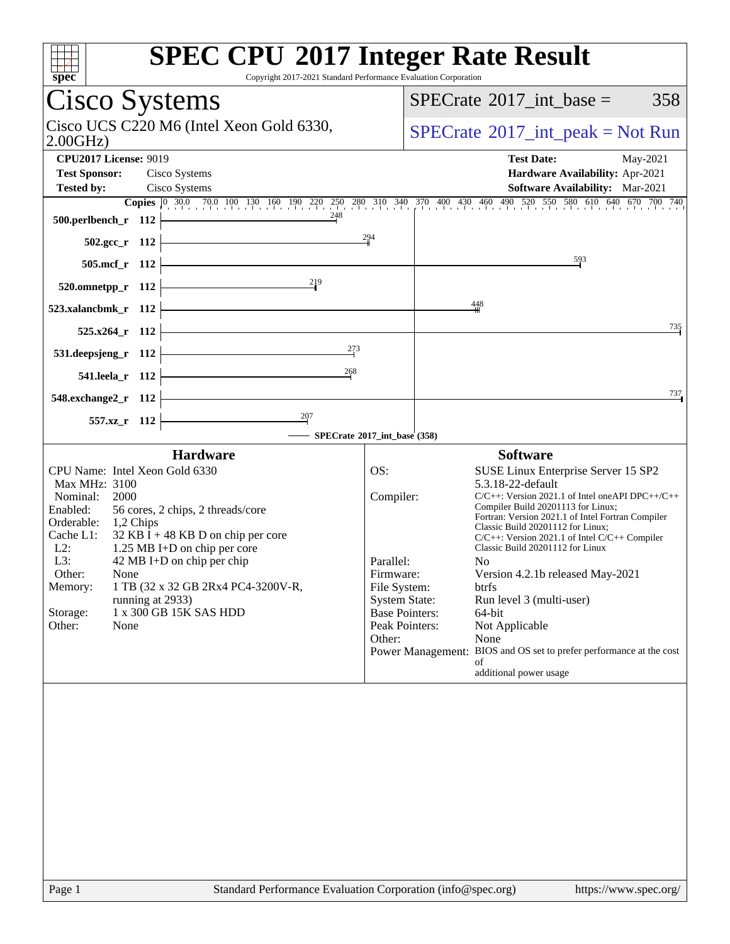| <b>SPEC CPU®2017 Integer Rate Result</b><br>spec<br>Copyright 2017-2021 Standard Performance Evaluation Corporation                                                                                                                                                                                                                                                                                                                                   |                                                                                                                                         |                                                   |                                                                                                                                                                                                                                                                                                                                                                                                                                                                                                                                                                                               |  |     |  |  |
|-------------------------------------------------------------------------------------------------------------------------------------------------------------------------------------------------------------------------------------------------------------------------------------------------------------------------------------------------------------------------------------------------------------------------------------------------------|-----------------------------------------------------------------------------------------------------------------------------------------|---------------------------------------------------|-----------------------------------------------------------------------------------------------------------------------------------------------------------------------------------------------------------------------------------------------------------------------------------------------------------------------------------------------------------------------------------------------------------------------------------------------------------------------------------------------------------------------------------------------------------------------------------------------|--|-----|--|--|
| Cisco Systems                                                                                                                                                                                                                                                                                                                                                                                                                                         |                                                                                                                                         |                                                   | $SPECrate^{\circledast}2017\_int\_base =$                                                                                                                                                                                                                                                                                                                                                                                                                                                                                                                                                     |  | 358 |  |  |
| Cisco UCS C220 M6 (Intel Xeon Gold 6330,<br>2.00GHz                                                                                                                                                                                                                                                                                                                                                                                                   |                                                                                                                                         | $SPECrate^{\circledast}2017\_int\_peak = Not Run$ |                                                                                                                                                                                                                                                                                                                                                                                                                                                                                                                                                                                               |  |     |  |  |
| <b>CPU2017 License: 9019</b>                                                                                                                                                                                                                                                                                                                                                                                                                          |                                                                                                                                         | <b>Test Date:</b>                                 | May-2021                                                                                                                                                                                                                                                                                                                                                                                                                                                                                                                                                                                      |  |     |  |  |
| <b>Test Sponsor:</b><br>Cisco Systems                                                                                                                                                                                                                                                                                                                                                                                                                 | Hardware Availability: Apr-2021                                                                                                         |                                                   |                                                                                                                                                                                                                                                                                                                                                                                                                                                                                                                                                                                               |  |     |  |  |
| <b>Tested by:</b><br>Cisco Systems<br><b>Software Availability:</b> Mar-2021<br><b>Copies</b> 0 30.0 70.0 100 130 160 190 220 250 280 310 340 370 400 430 460 490 520 550 580 610 640 670 700 740                                                                                                                                                                                                                                                     |                                                                                                                                         |                                                   |                                                                                                                                                                                                                                                                                                                                                                                                                                                                                                                                                                                               |  |     |  |  |
| 248<br>500.perlbench_r 112                                                                                                                                                                                                                                                                                                                                                                                                                            |                                                                                                                                         |                                                   |                                                                                                                                                                                                                                                                                                                                                                                                                                                                                                                                                                                               |  |     |  |  |
| 502.gcc_r 112                                                                                                                                                                                                                                                                                                                                                                                                                                         | 294                                                                                                                                     |                                                   |                                                                                                                                                                                                                                                                                                                                                                                                                                                                                                                                                                                               |  |     |  |  |
| 505.mcf_r 112                                                                                                                                                                                                                                                                                                                                                                                                                                         |                                                                                                                                         |                                                   | 593                                                                                                                                                                                                                                                                                                                                                                                                                                                                                                                                                                                           |  |     |  |  |
| 219<br>$520.0$ mnetpp_r 112                                                                                                                                                                                                                                                                                                                                                                                                                           |                                                                                                                                         |                                                   |                                                                                                                                                                                                                                                                                                                                                                                                                                                                                                                                                                                               |  |     |  |  |
| 523.xalancbmk_r 112                                                                                                                                                                                                                                                                                                                                                                                                                                   |                                                                                                                                         |                                                   | $\frac{448}{5}$                                                                                                                                                                                                                                                                                                                                                                                                                                                                                                                                                                               |  |     |  |  |
| 525.x264 r 112                                                                                                                                                                                                                                                                                                                                                                                                                                        |                                                                                                                                         |                                                   |                                                                                                                                                                                                                                                                                                                                                                                                                                                                                                                                                                                               |  | 735 |  |  |
| 273<br>531.deepsjeng_r 112                                                                                                                                                                                                                                                                                                                                                                                                                            |                                                                                                                                         |                                                   |                                                                                                                                                                                                                                                                                                                                                                                                                                                                                                                                                                                               |  |     |  |  |
| 268<br>541.leela_r 112                                                                                                                                                                                                                                                                                                                                                                                                                                |                                                                                                                                         |                                                   |                                                                                                                                                                                                                                                                                                                                                                                                                                                                                                                                                                                               |  |     |  |  |
| 548.exchange2_r 112                                                                                                                                                                                                                                                                                                                                                                                                                                   |                                                                                                                                         |                                                   |                                                                                                                                                                                                                                                                                                                                                                                                                                                                                                                                                                                               |  | 737 |  |  |
| 557.xz_r 112                                                                                                                                                                                                                                                                                                                                                                                                                                          |                                                                                                                                         |                                                   |                                                                                                                                                                                                                                                                                                                                                                                                                                                                                                                                                                                               |  |     |  |  |
| - SPECrate®2017_int_base (358)                                                                                                                                                                                                                                                                                                                                                                                                                        |                                                                                                                                         |                                                   |                                                                                                                                                                                                                                                                                                                                                                                                                                                                                                                                                                                               |  |     |  |  |
| <b>Hardware</b><br>CPU Name: Intel Xeon Gold 6330<br>Max MHz: 3100<br>Nominal:<br>2000<br>Enabled:<br>56 cores, 2 chips, 2 threads/core<br>Orderable:<br>1,2 Chips<br>Cache L1:<br>$32$ KB I + 48 KB D on chip per core<br>$L2$ :<br>1.25 MB I+D on chip per core<br>L3:<br>42 MB I+D on chip per chip<br>Other:<br>None<br>1 TB (32 x 32 GB 2Rx4 PC4-3200V-R,<br>Memory:<br>running at 2933)<br>1 x 300 GB 15K SAS HDD<br>Storage:<br>Other:<br>None | OS:<br>Compiler:<br>Parallel:<br>Firmware:<br>File System:<br><b>System State:</b><br><b>Base Pointers:</b><br>Peak Pointers:<br>Other: |                                                   | <b>Software</b><br>SUSE Linux Enterprise Server 15 SP2<br>5.3.18-22-default<br>$C/C++$ : Version 2021.1 of Intel one API DPC++/C++<br>Compiler Build 20201113 for Linux;<br>Fortran: Version 2021.1 of Intel Fortran Compiler<br>Classic Build 20201112 for Linux;<br>C/C++: Version 2021.1 of Intel C/C++ Compiler<br>Classic Build 20201112 for Linux<br>N <sub>0</sub><br>Version 4.2.1b released May-2021<br>btrfs<br>Run level 3 (multi-user)<br>64-bit<br>Not Applicable<br>None<br>Power Management: BIOS and OS set to prefer performance at the cost<br>of<br>additional power usage |  |     |  |  |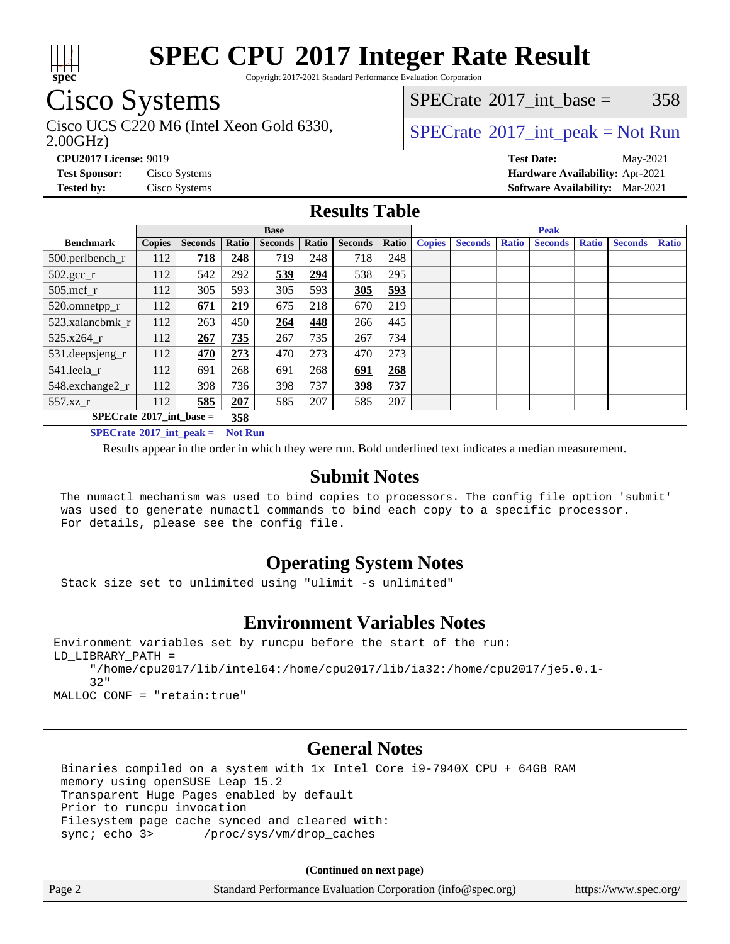

Copyright 2017-2021 Standard Performance Evaluation Corporation

## Cisco Systems

Cisco UCS C220 M6 (Intel Xeon Gold 6330,  $SPECTR = SPECrate \degree 2017$  $SPECTR = SPECrate \degree 2017$  $SPECTR = SPECrate \degree 2017$  int peak = Not Run

[SPECrate](http://www.spec.org/auto/cpu2017/Docs/result-fields.html#SPECrate2017intbase)<sup>®</sup>2017 int base =  $358$ 

2.00GHz)

**[CPU2017 License:](http://www.spec.org/auto/cpu2017/Docs/result-fields.html#CPU2017License)** 9019 **[Test Date:](http://www.spec.org/auto/cpu2017/Docs/result-fields.html#TestDate)** May-2021 **[Test Sponsor:](http://www.spec.org/auto/cpu2017/Docs/result-fields.html#TestSponsor)** Cisco Systems **[Hardware Availability:](http://www.spec.org/auto/cpu2017/Docs/result-fields.html#HardwareAvailability)** Apr-2021 **[Tested by:](http://www.spec.org/auto/cpu2017/Docs/result-fields.html#Testedby)** Cisco Systems **[Software Availability:](http://www.spec.org/auto/cpu2017/Docs/result-fields.html#SoftwareAvailability)** Mar-2021

### **[Results Table](http://www.spec.org/auto/cpu2017/Docs/result-fields.html#ResultsTable)**

|                                   | <b>Base</b>   |                |                |                |            | <b>Peak</b>    |       |               |                |              |                |              |                |              |
|-----------------------------------|---------------|----------------|----------------|----------------|------------|----------------|-------|---------------|----------------|--------------|----------------|--------------|----------------|--------------|
| <b>Benchmark</b>                  | <b>Copies</b> | <b>Seconds</b> | Ratio          | <b>Seconds</b> | Ratio      | <b>Seconds</b> | Ratio | <b>Copies</b> | <b>Seconds</b> | <b>Ratio</b> | <b>Seconds</b> | <b>Ratio</b> | <b>Seconds</b> | <b>Ratio</b> |
| 500.perlbench_r                   | 112           | 718            | 248            | 719            | 248        | 718            | 248   |               |                |              |                |              |                |              |
| $502.\text{gcc}$ _r               | 112           | 542            | 292            | 539            | <u>294</u> | 538            | 295   |               |                |              |                |              |                |              |
| $505$ .mcf r                      | 112           | 305            | 593            | 305            | 593        | 305            | 593   |               |                |              |                |              |                |              |
| 520.omnetpp_r                     | 112           | 671            | 219            | 675            | 218        | 670            | 219   |               |                |              |                |              |                |              |
| 523.xalancbmk r                   | 112           | 263            | 450            | 264            | 448        | 266            | 445   |               |                |              |                |              |                |              |
| 525.x264 r                        | 112           | 267            | 735            | 267            | 735        | 267            | 734   |               |                |              |                |              |                |              |
| 531.deepsjeng_r                   | 112           | 470            | 273            | 470            | 273        | 470            | 273   |               |                |              |                |              |                |              |
| 541.leela r                       | 112           | 691            | 268            | 691            | 268        | 691            | 268   |               |                |              |                |              |                |              |
| 548.exchange2_r                   | 112           | 398            | 736            | 398            | 737        | 398            | 737   |               |                |              |                |              |                |              |
| $557.xz$ _r                       | 112           | 585            | 207            | 585            | 207        | 585            | 207   |               |                |              |                |              |                |              |
| $SPECrate^{\circ}2017$ int base = |               |                | 358            |                |            |                |       |               |                |              |                |              |                |              |
| $SPECrate^{\circ}2017$ int peak = |               |                | <b>Not Run</b> |                |            |                |       |               |                |              |                |              |                |              |

Results appear in the [order in which they were run](http://www.spec.org/auto/cpu2017/Docs/result-fields.html#RunOrder). Bold underlined text [indicates a median measurement](http://www.spec.org/auto/cpu2017/Docs/result-fields.html#Median).

### **[Submit Notes](http://www.spec.org/auto/cpu2017/Docs/result-fields.html#SubmitNotes)**

 The numactl mechanism was used to bind copies to processors. The config file option 'submit' was used to generate numactl commands to bind each copy to a specific processor. For details, please see the config file.

### **[Operating System Notes](http://www.spec.org/auto/cpu2017/Docs/result-fields.html#OperatingSystemNotes)**

Stack size set to unlimited using "ulimit -s unlimited"

### **[Environment Variables Notes](http://www.spec.org/auto/cpu2017/Docs/result-fields.html#EnvironmentVariablesNotes)**

```
Environment variables set by runcpu before the start of the run:
LD_LIBRARY_PATH =
      "/home/cpu2017/lib/intel64:/home/cpu2017/lib/ia32:/home/cpu2017/je5.0.1-
      32"
```
MALLOC\_CONF = "retain:true"

### **[General Notes](http://www.spec.org/auto/cpu2017/Docs/result-fields.html#GeneralNotes)**

 Binaries compiled on a system with 1x Intel Core i9-7940X CPU + 64GB RAM memory using openSUSE Leap 15.2 Transparent Huge Pages enabled by default Prior to runcpu invocation Filesystem page cache synced and cleared with: sync; echo 3> /proc/sys/vm/drop\_caches

**(Continued on next page)**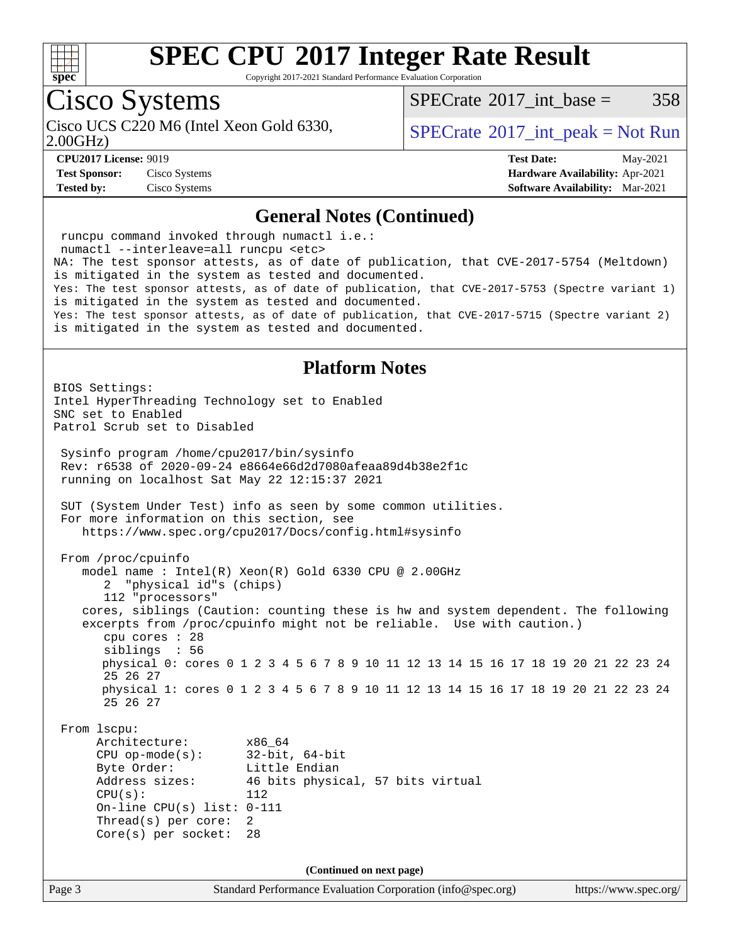

Copyright 2017-2021 Standard Performance Evaluation Corporation

## Cisco Systems

Cisco UCS C220 M6 (Intel Xeon Gold 6330,  $SPECTR = SPECrate \degree 2017$  $SPECTR = SPECrate \degree 2017$  $SPECTR = SPECrate \degree 2017$  int peak = Not Run

 $SPECTate^{\circ}2017$  int base = 358

2.00GHz)

**[CPU2017 License:](http://www.spec.org/auto/cpu2017/Docs/result-fields.html#CPU2017License)** 9019 **[Test Date:](http://www.spec.org/auto/cpu2017/Docs/result-fields.html#TestDate)** May-2021

**[Test Sponsor:](http://www.spec.org/auto/cpu2017/Docs/result-fields.html#TestSponsor)** Cisco Systems **[Hardware Availability:](http://www.spec.org/auto/cpu2017/Docs/result-fields.html#HardwareAvailability)** Apr-2021 **[Tested by:](http://www.spec.org/auto/cpu2017/Docs/result-fields.html#Testedby)** Cisco Systems **[Software Availability:](http://www.spec.org/auto/cpu2017/Docs/result-fields.html#SoftwareAvailability)** Mar-2021

### **[General Notes \(Continued\)](http://www.spec.org/auto/cpu2017/Docs/result-fields.html#GeneralNotes)**

 runcpu command invoked through numactl i.e.: numactl --interleave=all runcpu <etc> NA: The test sponsor attests, as of date of publication, that CVE-2017-5754 (Meltdown) is mitigated in the system as tested and documented. Yes: The test sponsor attests, as of date of publication, that CVE-2017-5753 (Spectre variant 1) is mitigated in the system as tested and documented. Yes: The test sponsor attests, as of date of publication, that CVE-2017-5715 (Spectre variant 2) is mitigated in the system as tested and documented. **[Platform Notes](http://www.spec.org/auto/cpu2017/Docs/result-fields.html#PlatformNotes)** BIOS Settings: Intel HyperThreading Technology set to Enabled SNC set to Enabled Patrol Scrub set to Disabled Sysinfo program /home/cpu2017/bin/sysinfo Rev: r6538 of 2020-09-24 e8664e66d2d7080afeaa89d4b38e2f1c running on localhost Sat May 22 12:15:37 2021 SUT (System Under Test) info as seen by some common utilities. For more information on this section, see <https://www.spec.org/cpu2017/Docs/config.html#sysinfo> From /proc/cpuinfo model name : Intel(R) Xeon(R) Gold 6330 CPU @ 2.00GHz 2 "physical id"s (chips) 112 "processors" cores, siblings (Caution: counting these is hw and system dependent. The following excerpts from /proc/cpuinfo might not be reliable. Use with caution.) cpu cores : 28 siblings : 56 physical 0: cores 0 1 2 3 4 5 6 7 8 9 10 11 12 13 14 15 16 17 18 19 20 21 22 23 24 25 26 27 physical 1: cores 0 1 2 3 4 5 6 7 8 9 10 11 12 13 14 15 16 17 18 19 20 21 22 23 24 25 26 27 From lscpu: Architecture: x86\_64 CPU op-mode(s): 32-bit, 64-bit Byte Order: Little Endian Address sizes: 46 bits physical, 57 bits virtual  $CPU(s):$  112 On-line CPU(s) list: 0-111 Thread(s) per core: 2 Core(s) per socket: 28 **(Continued on next page)**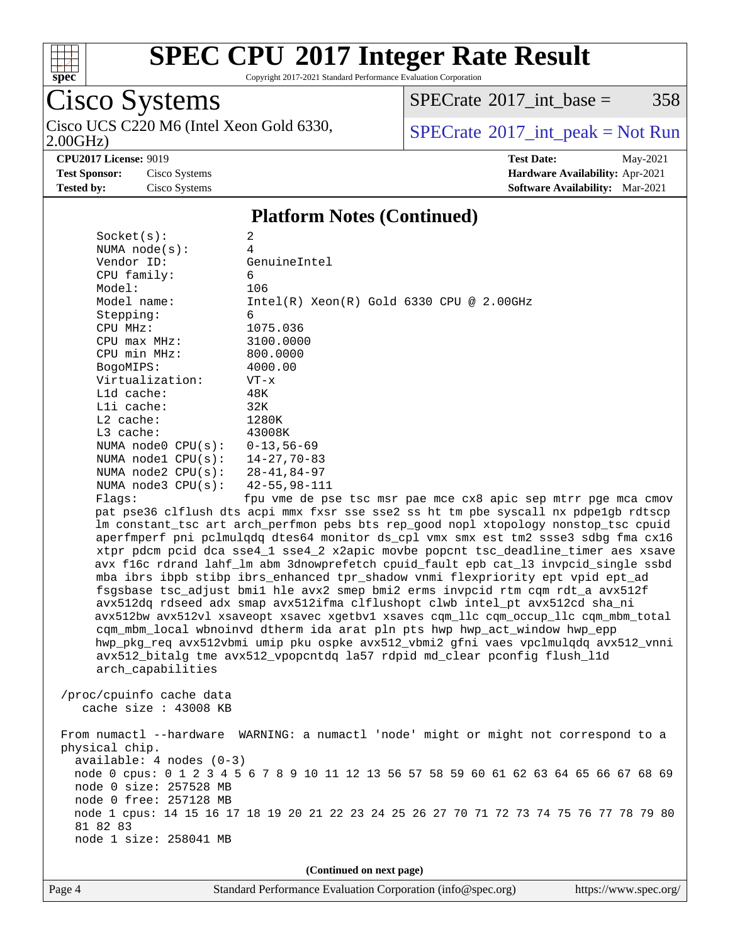

Copyright 2017-2021 Standard Performance Evaluation Corporation

# Cisco Systems

2.00GHz) Cisco UCS C220 M6 (Intel Xeon Gold 6330,  $\boxed{\text{SPECrate}^{\circ}2017\_int\_peak = Not Run}$  $\boxed{\text{SPECrate}^{\circ}2017\_int\_peak = Not Run}$  $\boxed{\text{SPECrate}^{\circ}2017\_int\_peak = Not Run}$ 

 $SPECTate$ <sup>®</sup>[2017\\_int\\_base =](http://www.spec.org/auto/cpu2017/Docs/result-fields.html#SPECrate2017intbase) 358

**[CPU2017 License:](http://www.spec.org/auto/cpu2017/Docs/result-fields.html#CPU2017License)** 9019 **[Test Date:](http://www.spec.org/auto/cpu2017/Docs/result-fields.html#TestDate)** May-2021 **[Test Sponsor:](http://www.spec.org/auto/cpu2017/Docs/result-fields.html#TestSponsor)** Cisco Systems **[Hardware Availability:](http://www.spec.org/auto/cpu2017/Docs/result-fields.html#HardwareAvailability)** Apr-2021 **[Tested by:](http://www.spec.org/auto/cpu2017/Docs/result-fields.html#Testedby)** Cisco Systems **[Software Availability:](http://www.spec.org/auto/cpu2017/Docs/result-fields.html#SoftwareAvailability)** Mar-2021

### **[Platform Notes \(Continued\)](http://www.spec.org/auto/cpu2017/Docs/result-fields.html#PlatformNotes)**

Page 4 Standard Performance Evaluation Corporation [\(info@spec.org\)](mailto:info@spec.org) <https://www.spec.org/>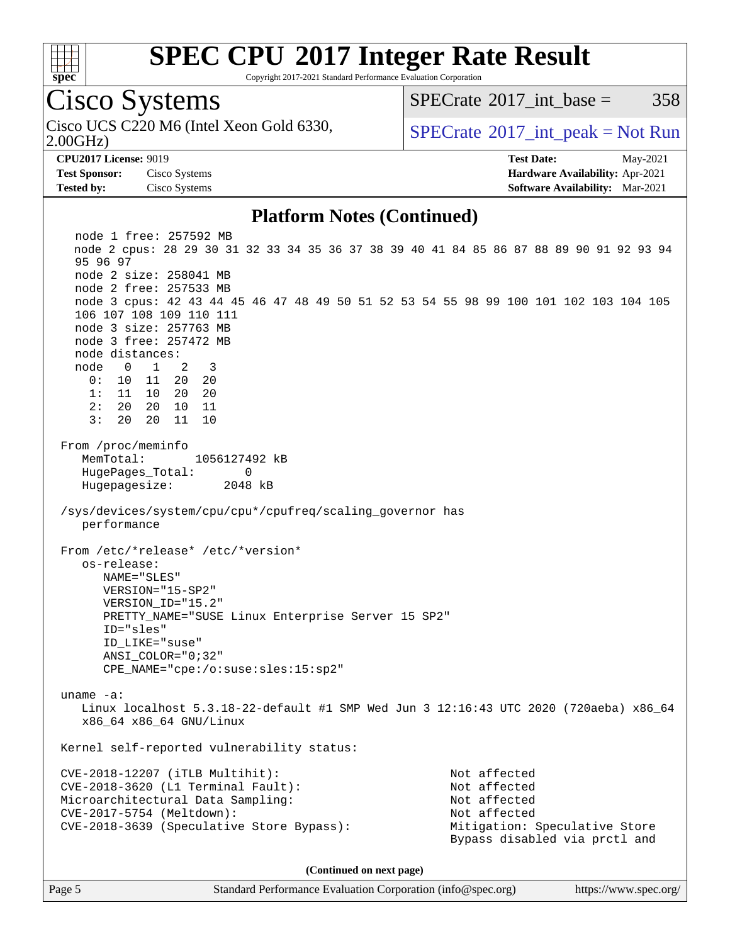

Copyright 2017-2021 Standard Performance Evaluation Corporation

Cisco Systems

2.00GHz)

 $SPECTate^{\circ}2017$  int base = 358

Cisco UCS C220 M6 (Intel Xeon Gold 6330,  $SPECrate^{\circ}2017\_int\_peak = Not Run$  $SPECrate^{\circ}2017\_int\_peak = Not Run$ 

**[Test Sponsor:](http://www.spec.org/auto/cpu2017/Docs/result-fields.html#TestSponsor)** Cisco Systems **[Hardware Availability:](http://www.spec.org/auto/cpu2017/Docs/result-fields.html#HardwareAvailability)** Apr-2021 **[Tested by:](http://www.spec.org/auto/cpu2017/Docs/result-fields.html#Testedby)** Cisco Systems **[Software Availability:](http://www.spec.org/auto/cpu2017/Docs/result-fields.html#SoftwareAvailability)** Mar-2021

**[CPU2017 License:](http://www.spec.org/auto/cpu2017/Docs/result-fields.html#CPU2017License)** 9019 **[Test Date:](http://www.spec.org/auto/cpu2017/Docs/result-fields.html#TestDate)** May-2021

### **[Platform Notes \(Continued\)](http://www.spec.org/auto/cpu2017/Docs/result-fields.html#PlatformNotes)**

 node 1 free: 257592 MB node 2 cpus: 28 29 30 31 32 33 34 35 36 37 38 39 40 41 84 85 86 87 88 89 90 91 92 93 94 95 96 97 node 2 size: 258041 MB node 2 free: 257533 MB node 3 cpus: 42 43 44 45 46 47 48 49 50 51 52 53 54 55 98 99 100 101 102 103 104 105 106 107 108 109 110 111 node 3 size: 257763 MB node 3 free: 257472 MB node distances: node 0 1 2 3 0: 10 11 20 20 1: 11 10 20 20 2: 20 20 10 11 3: 20 20 11 10 From /proc/meminfo MemTotal: 1056127492 kB HugePages\_Total: 0 Hugepagesize: 2048 kB /sys/devices/system/cpu/cpu\*/cpufreq/scaling\_governor has performance From /etc/\*release\* /etc/\*version\* os-release: NAME="SLES" VERSION="15-SP2" VERSION\_ID="15.2" PRETTY\_NAME="SUSE Linux Enterprise Server 15 SP2" ID="sles" ID\_LIKE="suse" ANSI\_COLOR="0;32" CPE\_NAME="cpe:/o:suse:sles:15:sp2" uname -a: Linux localhost 5.3.18-22-default #1 SMP Wed Jun 3 12:16:43 UTC 2020 (720aeba) x86\_64 x86\_64 x86\_64 GNU/Linux Kernel self-reported vulnerability status: CVE-2018-12207 (iTLB Multihit): Not affected CVE-2018-3620 (L1 Terminal Fault): Not affected Microarchitectural Data Sampling: Not affected CVE-2017-5754 (Meltdown): Not affected CVE-2018-3639 (Speculative Store Bypass): Mitigation: Speculative Store Bypass disabled via prctl and **(Continued on next page)**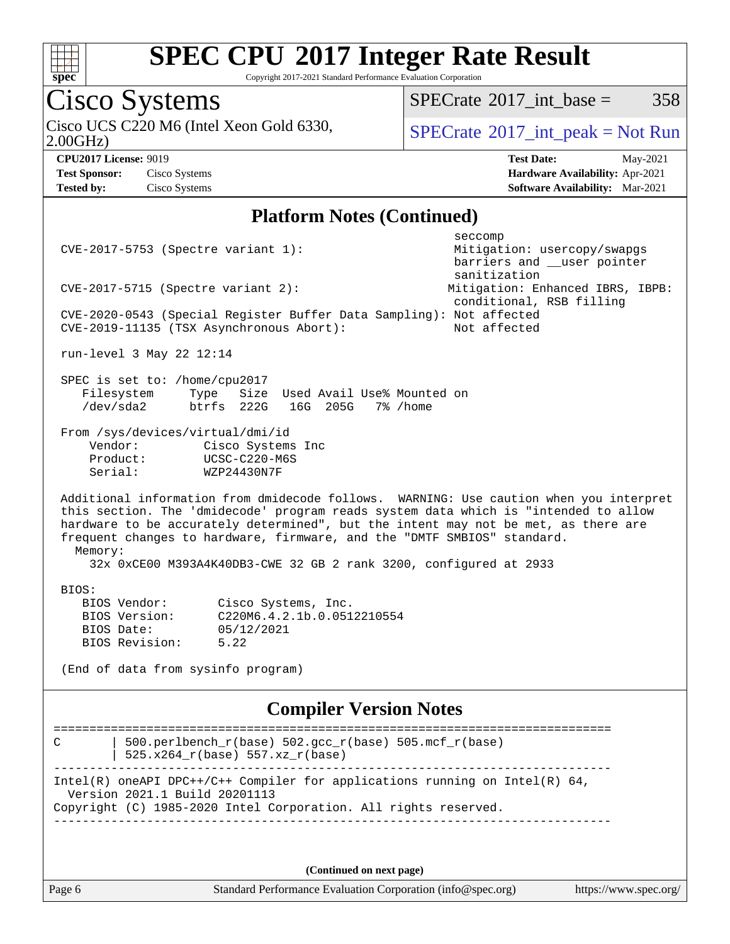

Copyright 2017-2021 Standard Performance Evaluation Corporation

## Cisco Systems

Cisco UCS C220 M6 (Intel Xeon Gold 6330,  $\boxed{\text{SPECrate}^{\circ}2017\_int\_peak = Not Run}$  $\boxed{\text{SPECrate}^{\circ}2017\_int\_peak = Not Run}$  $\boxed{\text{SPECrate}^{\circ}2017\_int\_peak = Not Run}$ 

 $SPECTate@2017_int\_base = 358$ 

2.00GHz)

**[Test Sponsor:](http://www.spec.org/auto/cpu2017/Docs/result-fields.html#TestSponsor)** Cisco Systems **[Hardware Availability:](http://www.spec.org/auto/cpu2017/Docs/result-fields.html#HardwareAvailability)** Apr-2021 **[Tested by:](http://www.spec.org/auto/cpu2017/Docs/result-fields.html#Testedby)** Cisco Systems **[Software Availability:](http://www.spec.org/auto/cpu2017/Docs/result-fields.html#SoftwareAvailability)** Mar-2021

**[CPU2017 License:](http://www.spec.org/auto/cpu2017/Docs/result-fields.html#CPU2017License)** 9019 **[Test Date:](http://www.spec.org/auto/cpu2017/Docs/result-fields.html#TestDate)** May-2021

### **[Platform Notes \(Continued\)](http://www.spec.org/auto/cpu2017/Docs/result-fields.html#PlatformNotes)**

| CVE-2017-5753 (Spectre variant 1):                                                                                                                                                                                                                                                                                                                                                                                             | seccomp<br>Mitigation: usercopy/swapgs      |  |  |  |  |  |  |
|--------------------------------------------------------------------------------------------------------------------------------------------------------------------------------------------------------------------------------------------------------------------------------------------------------------------------------------------------------------------------------------------------------------------------------|---------------------------------------------|--|--|--|--|--|--|
|                                                                                                                                                                                                                                                                                                                                                                                                                                | barriers and __user pointer<br>sanitization |  |  |  |  |  |  |
| $CVE-2017-5715$ (Spectre variant 2):                                                                                                                                                                                                                                                                                                                                                                                           | Mitigation: Enhanced IBRS, IBPB:            |  |  |  |  |  |  |
| conditional, RSB filling<br>CVE-2020-0543 (Special Register Buffer Data Sampling): Not affected<br>CVE-2019-11135 (TSX Asynchronous Abort):<br>Not affected                                                                                                                                                                                                                                                                    |                                             |  |  |  |  |  |  |
| run-level 3 May 22 12:14                                                                                                                                                                                                                                                                                                                                                                                                       |                                             |  |  |  |  |  |  |
| SPEC is set to: /home/cpu2017<br>Filesystem<br>Type<br>Size Used Avail Use% Mounted on<br>/dev/sda2<br>btrfs 222G<br>16G 205G 7% / home                                                                                                                                                                                                                                                                                        |                                             |  |  |  |  |  |  |
| From /sys/devices/virtual/dmi/id<br>Vendor:<br>Cisco Systems Inc<br>UCSC-C220-M6S<br>Product:<br>Serial:<br>WZP24430N7F                                                                                                                                                                                                                                                                                                        |                                             |  |  |  |  |  |  |
| Additional information from dmidecode follows. WARNING: Use caution when you interpret<br>this section. The 'dmidecode' program reads system data which is "intended to allow<br>hardware to be accurately determined", but the intent may not be met, as there are<br>frequent changes to hardware, firmware, and the "DMTF SMBIOS" standard.<br>Memory:<br>32x 0xCE00 M393A4K40DB3-CWE 32 GB 2 rank 3200, configured at 2933 |                                             |  |  |  |  |  |  |
| BIOS:<br>BIOS Vendor:<br>Cisco Systems, Inc.<br>BIOS Version:<br>C220M6.4.2.1b.0.0512210554<br>BIOS Date:<br>05/12/2021<br>BIOS Revision:<br>5.22<br>(End of data from sysinfo program)                                                                                                                                                                                                                                        |                                             |  |  |  |  |  |  |
| <b>Compiler Version Notes</b>                                                                                                                                                                                                                                                                                                                                                                                                  |                                             |  |  |  |  |  |  |
| 500.perlbench_r(base) 502.gcc_r(base) 505.mcf_r(base)<br>C<br>525.x264 r(base) 557.xz r(base)                                                                                                                                                                                                                                                                                                                                  |                                             |  |  |  |  |  |  |
| Intel(R) oneAPI DPC++/C++ Compiler for applications running on Intel(R) $64$ ,<br>Version 2021.1 Build 20201113<br>Copyright (C) 1985-2020 Intel Corporation. All rights reserved.                                                                                                                                                                                                                                             |                                             |  |  |  |  |  |  |
|                                                                                                                                                                                                                                                                                                                                                                                                                                |                                             |  |  |  |  |  |  |

**(Continued on next page)**

Page 6 Standard Performance Evaluation Corporation [\(info@spec.org\)](mailto:info@spec.org) <https://www.spec.org/>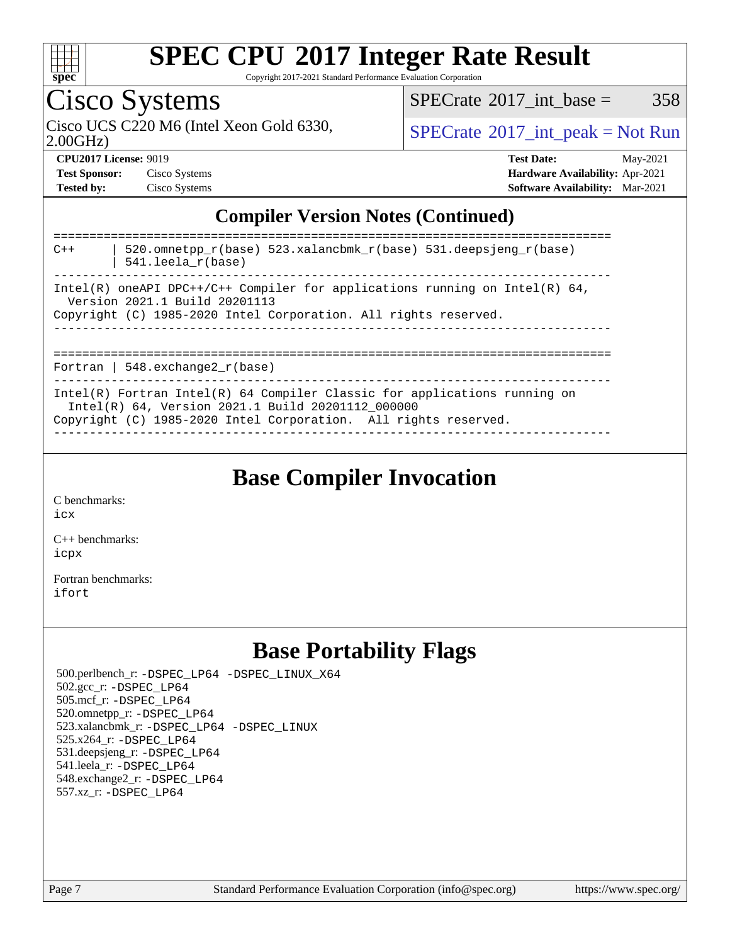

Copyright 2017-2021 Standard Performance Evaluation Corporation

## Cisco Systems

 $SPECTate$ <sup>®</sup>[2017\\_int\\_base =](http://www.spec.org/auto/cpu2017/Docs/result-fields.html#SPECrate2017intbase) 358

2.00GHz)

Cisco UCS C220 M6 (Intel Xeon Gold 6330,  $SPECrate^{\circ}2017\_int\_peak = Not Run$  $SPECrate^{\circ}2017\_int\_peak = Not Run$ 

| <b>Test Sponsor:</b> | Cisco Systems |
|----------------------|---------------|
| <b>Tested by:</b>    | Cisco Systems |

**[CPU2017 License:](http://www.spec.org/auto/cpu2017/Docs/result-fields.html#CPU2017License)** 9019 **[Test Date:](http://www.spec.org/auto/cpu2017/Docs/result-fields.html#TestDate)** May-2021 **Test Systems Systems Systems Systems Systems Systems Systems Systems Systems Systems Systems Systems Systems Systems Systems Systems Systems Systems Systems Systems Systems Systems Systems Systems Systems Systems Systems [Software Availability:](http://www.spec.org/auto/cpu2017/Docs/result-fields.html#SoftwareAvailability)** Mar-2021

## **[Compiler Version Notes \(Continued\)](http://www.spec.org/auto/cpu2017/Docs/result-fields.html#CompilerVersionNotes)**

| 520.omnetpp $r(base)$ 523.xalancbmk $r(base)$ 531.deepsjeng $r(base)$<br>$C++$<br>$541.$ leela $r(base)$<br>--------------------------------------                                                  |
|-----------------------------------------------------------------------------------------------------------------------------------------------------------------------------------------------------|
| Intel(R) oneAPI DPC++/C++ Compiler for applications running on Intel(R) $64$ ,<br>Version 2021.1 Build 20201113                                                                                     |
| Copyright (C) 1985-2020 Intel Corporation. All rights reserved.                                                                                                                                     |
| Fortran   548.exchange2 $r(base)$                                                                                                                                                                   |
| Intel(R) Fortran Intel(R) $64$ Compiler Classic for applications running on<br>Intel(R) 64, Version 2021.1 Build 20201112 000000<br>Copyright (C) 1985-2020 Intel Corporation. All rights reserved. |

**[Base Compiler Invocation](http://www.spec.org/auto/cpu2017/Docs/result-fields.html#BaseCompilerInvocation)**

[C benchmarks](http://www.spec.org/auto/cpu2017/Docs/result-fields.html#Cbenchmarks):

[icx](http://www.spec.org/cpu2017/results/res2021q2/cpu2017-20210525-26765.flags.html#user_CCbase_intel_icx_fe2d28d19ae2a5db7c42fe0f2a2aed77cb715edd4aeb23434404a8be6683fe239869bb6ca8154ca98265c2e3b9226a719a0efe2953a4a7018c379b7010ccf087)

[C++ benchmarks:](http://www.spec.org/auto/cpu2017/Docs/result-fields.html#CXXbenchmarks) [icpx](http://www.spec.org/cpu2017/results/res2021q2/cpu2017-20210525-26765.flags.html#user_CXXbase_intel_icpx_1e918ed14c436bf4b9b7c8bcdd51d4539fc71b3df010bd1e9f8732d9c34c2b2914e48204a846820f3c0ebb4095dea797a5c30b458ac0b6dffac65d78f781f5ca)

[Fortran benchmarks](http://www.spec.org/auto/cpu2017/Docs/result-fields.html#Fortranbenchmarks): [ifort](http://www.spec.org/cpu2017/results/res2021q2/cpu2017-20210525-26765.flags.html#user_FCbase_intel_ifort_8111460550e3ca792625aed983ce982f94888b8b503583aa7ba2b8303487b4d8a21a13e7191a45c5fd58ff318f48f9492884d4413fa793fd88dd292cad7027ca)

## **[Base Portability Flags](http://www.spec.org/auto/cpu2017/Docs/result-fields.html#BasePortabilityFlags)**

 500.perlbench\_r: [-DSPEC\\_LP64](http://www.spec.org/cpu2017/results/res2021q2/cpu2017-20210525-26765.flags.html#b500.perlbench_r_basePORTABILITY_DSPEC_LP64) [-DSPEC\\_LINUX\\_X64](http://www.spec.org/cpu2017/results/res2021q2/cpu2017-20210525-26765.flags.html#b500.perlbench_r_baseCPORTABILITY_DSPEC_LINUX_X64) 502.gcc\_r: [-DSPEC\\_LP64](http://www.spec.org/cpu2017/results/res2021q2/cpu2017-20210525-26765.flags.html#suite_basePORTABILITY502_gcc_r_DSPEC_LP64) 505.mcf\_r: [-DSPEC\\_LP64](http://www.spec.org/cpu2017/results/res2021q2/cpu2017-20210525-26765.flags.html#suite_basePORTABILITY505_mcf_r_DSPEC_LP64) 520.omnetpp\_r: [-DSPEC\\_LP64](http://www.spec.org/cpu2017/results/res2021q2/cpu2017-20210525-26765.flags.html#suite_basePORTABILITY520_omnetpp_r_DSPEC_LP64) 523.xalancbmk\_r: [-DSPEC\\_LP64](http://www.spec.org/cpu2017/results/res2021q2/cpu2017-20210525-26765.flags.html#suite_basePORTABILITY523_xalancbmk_r_DSPEC_LP64) [-DSPEC\\_LINUX](http://www.spec.org/cpu2017/results/res2021q2/cpu2017-20210525-26765.flags.html#b523.xalancbmk_r_baseCXXPORTABILITY_DSPEC_LINUX) 525.x264\_r: [-DSPEC\\_LP64](http://www.spec.org/cpu2017/results/res2021q2/cpu2017-20210525-26765.flags.html#suite_basePORTABILITY525_x264_r_DSPEC_LP64) 531.deepsjeng\_r: [-DSPEC\\_LP64](http://www.spec.org/cpu2017/results/res2021q2/cpu2017-20210525-26765.flags.html#suite_basePORTABILITY531_deepsjeng_r_DSPEC_LP64) 541.leela\_r: [-DSPEC\\_LP64](http://www.spec.org/cpu2017/results/res2021q2/cpu2017-20210525-26765.flags.html#suite_basePORTABILITY541_leela_r_DSPEC_LP64) 548.exchange2\_r: [-DSPEC\\_LP64](http://www.spec.org/cpu2017/results/res2021q2/cpu2017-20210525-26765.flags.html#suite_basePORTABILITY548_exchange2_r_DSPEC_LP64) 557.xz\_r: [-DSPEC\\_LP64](http://www.spec.org/cpu2017/results/res2021q2/cpu2017-20210525-26765.flags.html#suite_basePORTABILITY557_xz_r_DSPEC_LP64)